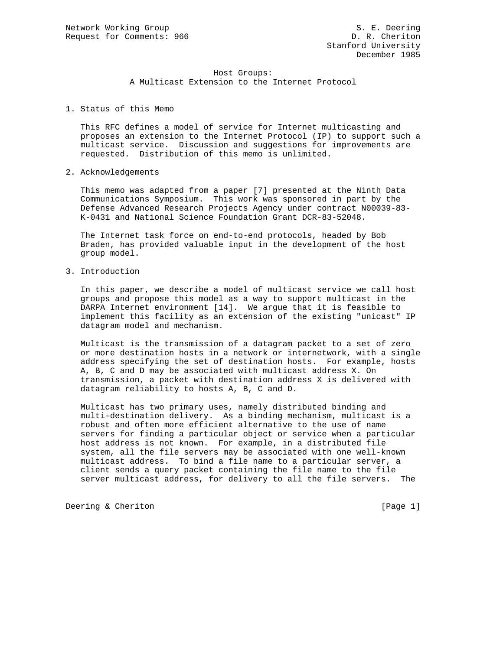# Host Groups: A Multicast Extension to the Internet Protocol

# 1. Status of this Memo

 This RFC defines a model of service for Internet multicasting and proposes an extension to the Internet Protocol (IP) to support such a multicast service. Discussion and suggestions for improvements are requested. Distribution of this memo is unlimited.

## 2. Acknowledgements

 This memo was adapted from a paper [7] presented at the Ninth Data Communications Symposium. This work was sponsored in part by the Defense Advanced Research Projects Agency under contract N00039-83- K-0431 and National Science Foundation Grant DCR-83-52048.

 The Internet task force on end-to-end protocols, headed by Bob Braden, has provided valuable input in the development of the host group model.

3. Introduction

 In this paper, we describe a model of multicast service we call host groups and propose this model as a way to support multicast in the DARPA Internet environment [14]. We argue that it is feasible to implement this facility as an extension of the existing "unicast" IP datagram model and mechanism.

 Multicast is the transmission of a datagram packet to a set of zero or more destination hosts in a network or internetwork, with a single address specifying the set of destination hosts. For example, hosts A, B, C and D may be associated with multicast address X. On transmission, a packet with destination address X is delivered with datagram reliability to hosts A, B, C and D.

 Multicast has two primary uses, namely distributed binding and multi-destination delivery. As a binding mechanism, multicast is a robust and often more efficient alternative to the use of name servers for finding a particular object or service when a particular host address is not known. For example, in a distributed file system, all the file servers may be associated with one well-known multicast address. To bind a file name to a particular server, a client sends a query packet containing the file name to the file server multicast address, for delivery to all the file servers. The

Deering & Cheriton **Deering A** Cheriton **and Contact Contact Contact Contact Contact Contact Contact Contact Contact Contact Contact Contact Contact Contact Contact Contact Contact Contact Contact Contact Contact Contact C**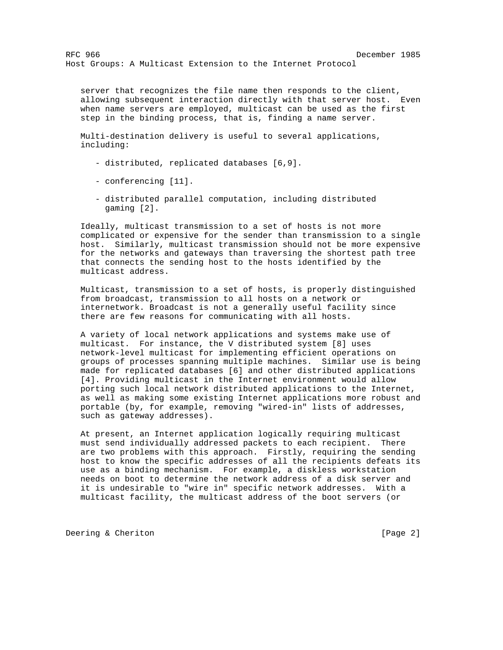server that recognizes the file name then responds to the client, allowing subsequent interaction directly with that server host. Even when name servers are employed, multicast can be used as the first step in the binding process, that is, finding a name server.

 Multi-destination delivery is useful to several applications, including:

- distributed, replicated databases [6,9].
- conferencing [11].
- distributed parallel computation, including distributed gaming [2].

 Ideally, multicast transmission to a set of hosts is not more complicated or expensive for the sender than transmission to a single host. Similarly, multicast transmission should not be more expensive for the networks and gateways than traversing the shortest path tree that connects the sending host to the hosts identified by the multicast address.

 Multicast, transmission to a set of hosts, is properly distinguished from broadcast, transmission to all hosts on a network or internetwork. Broadcast is not a generally useful facility since there are few reasons for communicating with all hosts.

 A variety of local network applications and systems make use of multicast. For instance, the V distributed system [8] uses network-level multicast for implementing efficient operations on groups of processes spanning multiple machines. Similar use is being made for replicated databases [6] and other distributed applications [4]. Providing multicast in the Internet environment would allow porting such local network distributed applications to the Internet, as well as making some existing Internet applications more robust and portable (by, for example, removing "wired-in" lists of addresses, such as gateway addresses).

 At present, an Internet application logically requiring multicast must send individually addressed packets to each recipient. There are two problems with this approach. Firstly, requiring the sending host to know the specific addresses of all the recipients defeats its use as a binding mechanism. For example, a diskless workstation needs on boot to determine the network address of a disk server and it is undesirable to "wire in" specific network addresses. With a multicast facility, the multicast address of the boot servers (or

Deering & Cheriton **Deering A** Cheriton **and Contact Cherical** Energy and Cherical Energy and Cherical Energy and Cherical Energy and Cherical Energy and Cherical Energy and Cherical Energy and Cherical Energy and Cherical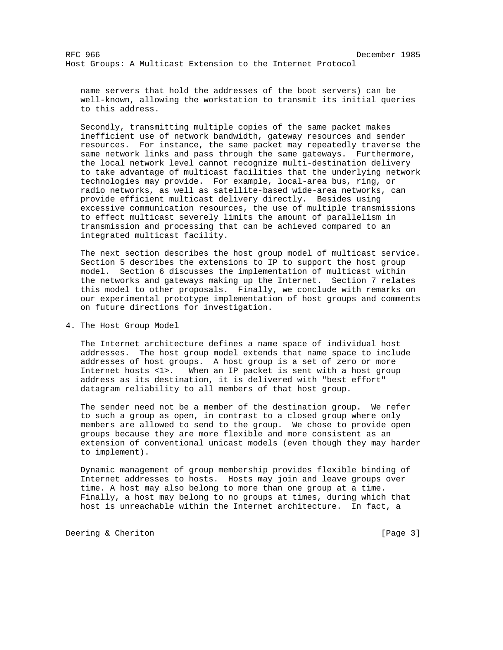name servers that hold the addresses of the boot servers) can be well-known, allowing the workstation to transmit its initial queries to this address.

 Secondly, transmitting multiple copies of the same packet makes inefficient use of network bandwidth, gateway resources and sender resources. For instance, the same packet may repeatedly traverse the same network links and pass through the same gateways. Furthermore, the local network level cannot recognize multi-destination delivery to take advantage of multicast facilities that the underlying network technologies may provide. For example, local-area bus, ring, or radio networks, as well as satellite-based wide-area networks, can provide efficient multicast delivery directly. Besides using excessive communication resources, the use of multiple transmissions to effect multicast severely limits the amount of parallelism in transmission and processing that can be achieved compared to an integrated multicast facility.

 The next section describes the host group model of multicast service. Section 5 describes the extensions to IP to support the host group model. Section 6 discusses the implementation of multicast within the networks and gateways making up the Internet. Section 7 relates this model to other proposals. Finally, we conclude with remarks on our experimental prototype implementation of host groups and comments on future directions for investigation.

4. The Host Group Model

 The Internet architecture defines a name space of individual host addresses. The host group model extends that name space to include addresses of host groups. A host group is a set of zero or more Internet hosts <1>. When an IP packet is sent with a host group address as its destination, it is delivered with "best effort" datagram reliability to all members of that host group.

 The sender need not be a member of the destination group. We refer to such a group as open, in contrast to a closed group where only members are allowed to send to the group. We chose to provide open groups because they are more flexible and more consistent as an extension of conventional unicast models (even though they may harder to implement).

 Dynamic management of group membership provides flexible binding of Internet addresses to hosts. Hosts may join and leave groups over time. A host may also belong to more than one group at a time. Finally, a host may belong to no groups at times, during which that host is unreachable within the Internet architecture. In fact, a

Deering & Cheriton [Page 3]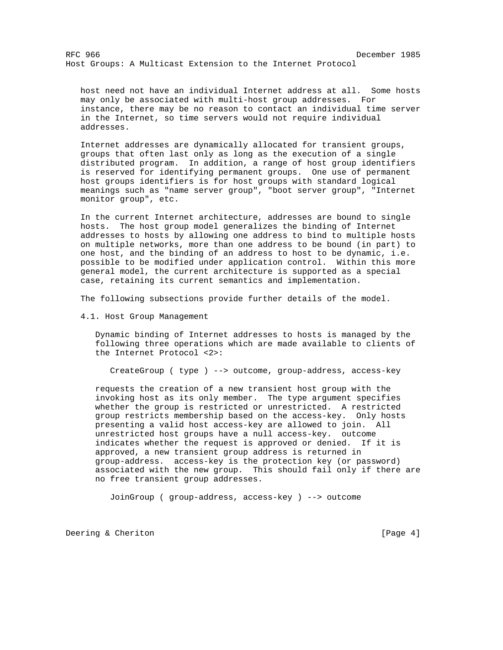host need not have an individual Internet address at all. Some hosts may only be associated with multi-host group addresses. For instance, there may be no reason to contact an individual time server in the Internet, so time servers would not require individual addresses.

 Internet addresses are dynamically allocated for transient groups, groups that often last only as long as the execution of a single distributed program. In addition, a range of host group identifiers is reserved for identifying permanent groups. One use of permanent host groups identifiers is for host groups with standard logical meanings such as "name server group", "boot server group", "Internet monitor group", etc.

 In the current Internet architecture, addresses are bound to single hosts. The host group model generalizes the binding of Internet addresses to hosts by allowing one address to bind to multiple hosts on multiple networks, more than one address to be bound (in part) to one host, and the binding of an address to host to be dynamic, i.e. possible to be modified under application control. Within this more general model, the current architecture is supported as a special case, retaining its current semantics and implementation.

The following subsections provide further details of the model.

4.1. Host Group Management

 Dynamic binding of Internet addresses to hosts is managed by the following three operations which are made available to clients of the Internet Protocol <2>:

CreateGroup ( type ) --> outcome, group-address, access-key

 requests the creation of a new transient host group with the invoking host as its only member. The type argument specifies whether the group is restricted or unrestricted. A restricted group restricts membership based on the access-key. Only hosts presenting a valid host access-key are allowed to join. All unrestricted host groups have a null access-key. outcome indicates whether the request is approved or denied. If it is approved, a new transient group address is returned in group-address. access-key is the protection key (or password) associated with the new group. This should fail only if there are no free transient group addresses.

JoinGroup ( group-address, access-key ) --> outcome

Deering & Cheriton [Page 4]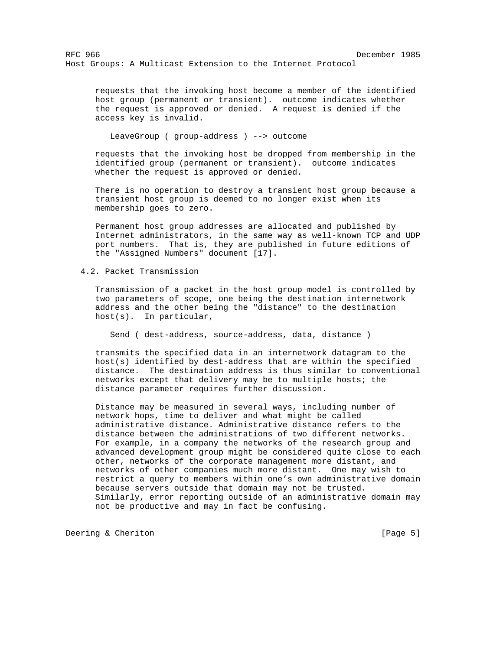requests that the invoking host become a member of the identified host group (permanent or transient). outcome indicates whether the request is approved or denied. A request is denied if the access key is invalid.

LeaveGroup ( group-address ) --> outcome

 requests that the invoking host be dropped from membership in the identified group (permanent or transient). outcome indicates whether the request is approved or denied.

 There is no operation to destroy a transient host group because a transient host group is deemed to no longer exist when its membership goes to zero.

 Permanent host group addresses are allocated and published by Internet administrators, in the same way as well-known TCP and UDP port numbers. That is, they are published in future editions of the "Assigned Numbers" document [17].

# 4.2. Packet Transmission

 Transmission of a packet in the host group model is controlled by two parameters of scope, one being the destination internetwork address and the other being the "distance" to the destination host(s). In particular,

Send ( dest-address, source-address, data, distance )

 transmits the specified data in an internetwork datagram to the host(s) identified by dest-address that are within the specified distance. The destination address is thus similar to conventional networks except that delivery may be to multiple hosts; the distance parameter requires further discussion.

 Distance may be measured in several ways, including number of network hops, time to deliver and what might be called administrative distance. Administrative distance refers to the distance between the administrations of two different networks. For example, in a company the networks of the research group and advanced development group might be considered quite close to each other, networks of the corporate management more distant, and networks of other companies much more distant. One may wish to restrict a query to members within one's own administrative domain because servers outside that domain may not be trusted. Similarly, error reporting outside of an administrative domain may not be productive and may in fact be confusing.

Deering & Cheriton **Deering & Cheriton Constant Constant Constant Constant Constant Constant Constant Constant Constant Constant Constant Constant Constant Constant Constant Constant Constant Constant Constant Constant C**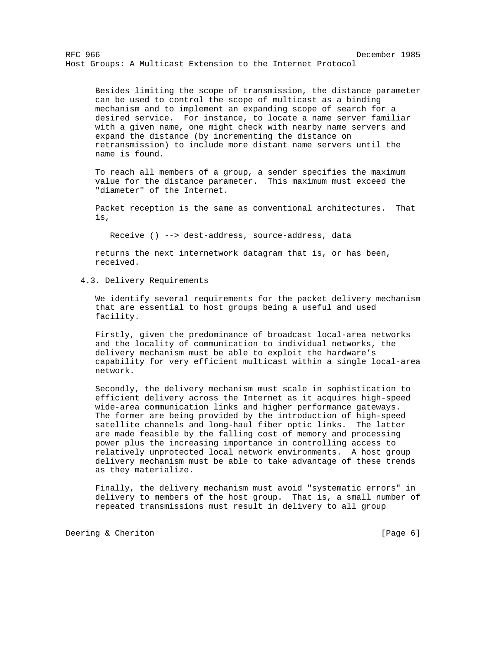Besides limiting the scope of transmission, the distance parameter can be used to control the scope of multicast as a binding mechanism and to implement an expanding scope of search for a desired service. For instance, to locate a name server familiar with a given name, one might check with nearby name servers and expand the distance (by incrementing the distance on retransmission) to include more distant name servers until the name is found.

 To reach all members of a group, a sender specifies the maximum value for the distance parameter. This maximum must exceed the "diameter" of the Internet.

 Packet reception is the same as conventional architectures. That is,

Receive () --> dest-address, source-address, data

 returns the next internetwork datagram that is, or has been, received.

4.3. Delivery Requirements

 We identify several requirements for the packet delivery mechanism that are essential to host groups being a useful and used facility.

 Firstly, given the predominance of broadcast local-area networks and the locality of communication to individual networks, the delivery mechanism must be able to exploit the hardware's capability for very efficient multicast within a single local-area network.

 Secondly, the delivery mechanism must scale in sophistication to efficient delivery across the Internet as it acquires high-speed wide-area communication links and higher performance gateways. The former are being provided by the introduction of high-speed satellite channels and long-haul fiber optic links. The latter are made feasible by the falling cost of memory and processing power plus the increasing importance in controlling access to relatively unprotected local network environments. A host group delivery mechanism must be able to take advantage of these trends as they materialize.

 Finally, the delivery mechanism must avoid "systematic errors" in delivery to members of the host group. That is, a small number of repeated transmissions must result in delivery to all group

Deering & Cheriton **Deering & Cheriton Constant Constant Constant Constant Constant Constant Constant Constant** Constant Constant Constant Constant Constant Constant Constant Constant Constant Constant Constant Constant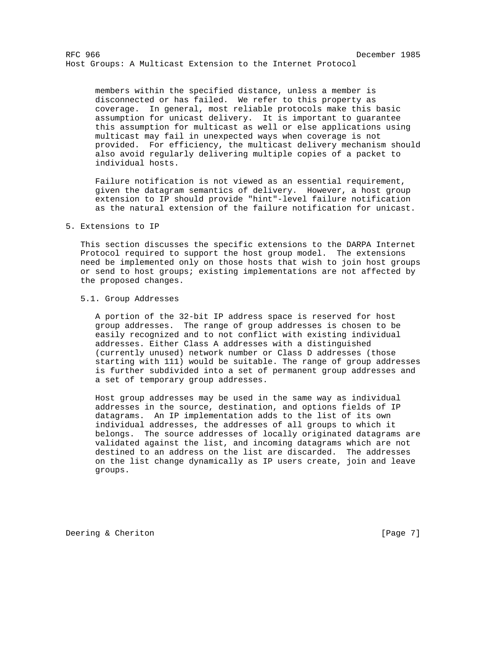members within the specified distance, unless a member is disconnected or has failed. We refer to this property as coverage. In general, most reliable protocols make this basic assumption for unicast delivery. It is important to guarantee this assumption for multicast as well or else applications using multicast may fail in unexpected ways when coverage is not provided. For efficiency, the multicast delivery mechanism should also avoid regularly delivering multiple copies of a packet to individual hosts.

 Failure notification is not viewed as an essential requirement, given the datagram semantics of delivery. However, a host group extension to IP should provide "hint"-level failure notification as the natural extension of the failure notification for unicast.

# 5. Extensions to IP

 This section discusses the specific extensions to the DARPA Internet Protocol required to support the host group model. The extensions need be implemented only on those hosts that wish to join host groups or send to host groups; existing implementations are not affected by the proposed changes.

#### 5.1. Group Addresses

 A portion of the 32-bit IP address space is reserved for host group addresses. The range of group addresses is chosen to be easily recognized and to not conflict with existing individual addresses. Either Class A addresses with a distinguished (currently unused) network number or Class D addresses (those starting with 111) would be suitable. The range of group addresses is further subdivided into a set of permanent group addresses and a set of temporary group addresses.

 Host group addresses may be used in the same way as individual addresses in the source, destination, and options fields of IP datagrams. An IP implementation adds to the list of its own individual addresses, the addresses of all groups to which it belongs. The source addresses of locally originated datagrams are validated against the list, and incoming datagrams which are not destined to an address on the list are discarded. The addresses on the list change dynamically as IP users create, join and leave groups.

Deering & Cheriton **Deering A** Cheriton **and A** Cherical Analysis and Deering A Cherical Analysis and Deering A Cherical Analysis and Deering A Cherical Analysis and Deering A Cherical Analysis and Deering A Cherical Analy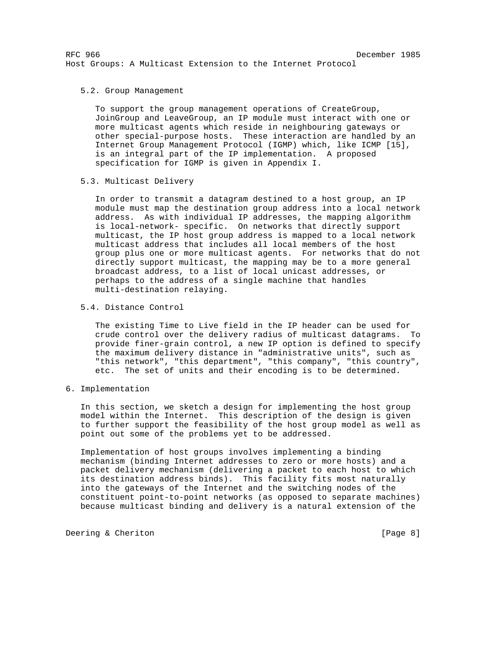### 5.2. Group Management

 To support the group management operations of CreateGroup, JoinGroup and LeaveGroup, an IP module must interact with one or more multicast agents which reside in neighbouring gateways or other special-purpose hosts. These interaction are handled by an Internet Group Management Protocol (IGMP) which, like ICMP [15], is an integral part of the IP implementation. A proposed specification for IGMP is given in Appendix I.

5.3. Multicast Delivery

 In order to transmit a datagram destined to a host group, an IP module must map the destination group address into a local network address. As with individual IP addresses, the mapping algorithm is local-network- specific. On networks that directly support multicast, the IP host group address is mapped to a local network multicast address that includes all local members of the host group plus one or more multicast agents. For networks that do not directly support multicast, the mapping may be to a more general broadcast address, to a list of local unicast addresses, or perhaps to the address of a single machine that handles multi-destination relaying.

5.4. Distance Control

 The existing Time to Live field in the IP header can be used for crude control over the delivery radius of multicast datagrams. To provide finer-grain control, a new IP option is defined to specify the maximum delivery distance in "administrative units", such as "this network", "this department", "this company", "this country", etc. The set of units and their encoding is to be determined.

6. Implementation

 In this section, we sketch a design for implementing the host group model within the Internet. This description of the design is given to further support the feasibility of the host group model as well as point out some of the problems yet to be addressed.

 Implementation of host groups involves implementing a binding mechanism (binding Internet addresses to zero or more hosts) and a packet delivery mechanism (delivering a packet to each host to which its destination address binds). This facility fits most naturally into the gateways of the Internet and the switching nodes of the constituent point-to-point networks (as opposed to separate machines) because multicast binding and delivery is a natural extension of the

Deering & Cheriton **Deering & Cheriton Constant Constant Constant Constant Constant Constant Constant Constant Constant Constant Constant Constant Constant Constant Constant Constant Constant Constant Constant Constant C**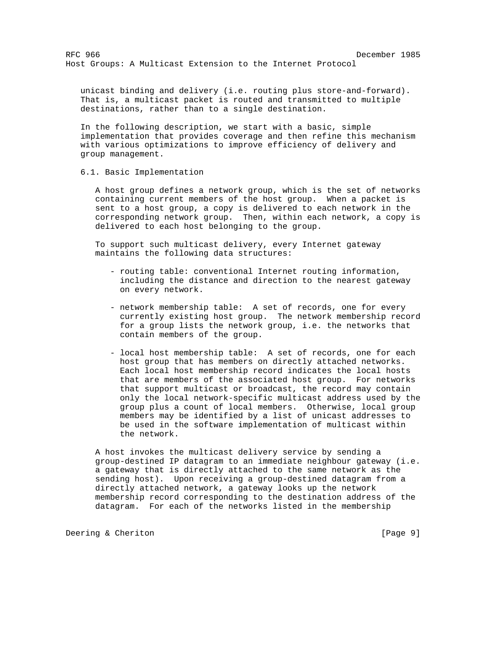unicast binding and delivery (i.e. routing plus store-and-forward). That is, a multicast packet is routed and transmitted to multiple destinations, rather than to a single destination.

 In the following description, we start with a basic, simple implementation that provides coverage and then refine this mechanism with various optimizations to improve efficiency of delivery and group management.

6.1. Basic Implementation

 A host group defines a network group, which is the set of networks containing current members of the host group. When a packet is sent to a host group, a copy is delivered to each network in the corresponding network group. Then, within each network, a copy is delivered to each host belonging to the group.

 To support such multicast delivery, every Internet gateway maintains the following data structures:

- routing table: conventional Internet routing information, including the distance and direction to the nearest gateway on every network.
- network membership table: A set of records, one for every currently existing host group. The network membership record for a group lists the network group, i.e. the networks that contain members of the group.
- local host membership table: A set of records, one for each host group that has members on directly attached networks. Each local host membership record indicates the local hosts that are members of the associated host group. For networks that support multicast or broadcast, the record may contain only the local network-specific multicast address used by the group plus a count of local members. Otherwise, local group members may be identified by a list of unicast addresses to be used in the software implementation of multicast within the network.

 A host invokes the multicast delivery service by sending a group-destined IP datagram to an immediate neighbour gateway (i.e. a gateway that is directly attached to the same network as the sending host). Upon receiving a group-destined datagram from a directly attached network, a gateway looks up the network membership record corresponding to the destination address of the datagram. For each of the networks listed in the membership

Deering & Cheriton **Deering A** Cheriton **and Contact Cherical** Energy and Cherical Energy and Cherical Energy and Cherical Energy and Cherical Energy and Cherical Energy and Cherical Energy and Cherical Energy and Cherical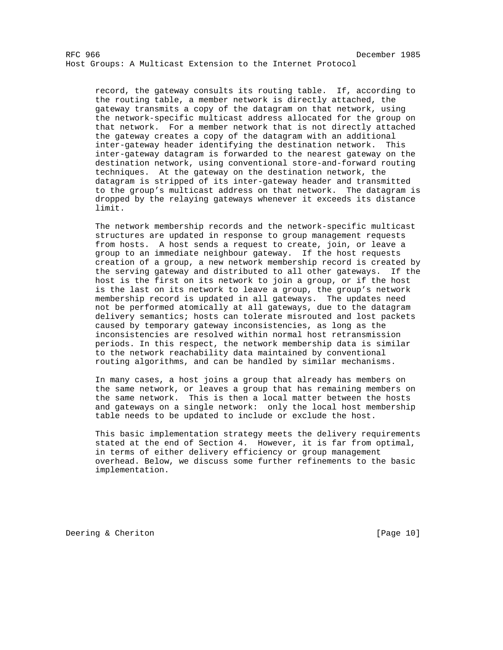record, the gateway consults its routing table. If, according to the routing table, a member network is directly attached, the gateway transmits a copy of the datagram on that network, using the network-specific multicast address allocated for the group on that network. For a member network that is not directly attached the gateway creates a copy of the datagram with an additional inter-gateway header identifying the destination network. This inter-gateway datagram is forwarded to the nearest gateway on the destination network, using conventional store-and-forward routing techniques. At the gateway on the destination network, the datagram is stripped of its inter-gateway header and transmitted to the group's multicast address on that network. The datagram is dropped by the relaying gateways whenever it exceeds its distance limit.

 The network membership records and the network-specific multicast structures are updated in response to group management requests from hosts. A host sends a request to create, join, or leave a group to an immediate neighbour gateway. If the host requests creation of a group, a new network membership record is created by the serving gateway and distributed to all other gateways. If the host is the first on its network to join a group, or if the host is the last on its network to leave a group, the group's network membership record is updated in all gateways. The updates need not be performed atomically at all gateways, due to the datagram delivery semantics; hosts can tolerate misrouted and lost packets caused by temporary gateway inconsistencies, as long as the inconsistencies are resolved within normal host retransmission periods. In this respect, the network membership data is similar to the network reachability data maintained by conventional routing algorithms, and can be handled by similar mechanisms.

 In many cases, a host joins a group that already has members on the same network, or leaves a group that has remaining members on the same network. This is then a local matter between the hosts and gateways on a single network: only the local host membership table needs to be updated to include or exclude the host.

 This basic implementation strategy meets the delivery requirements stated at the end of Section 4. However, it is far from optimal, in terms of either delivery efficiency or group management overhead. Below, we discuss some further refinements to the basic implementation.

Deering & Cheriton [Page 10]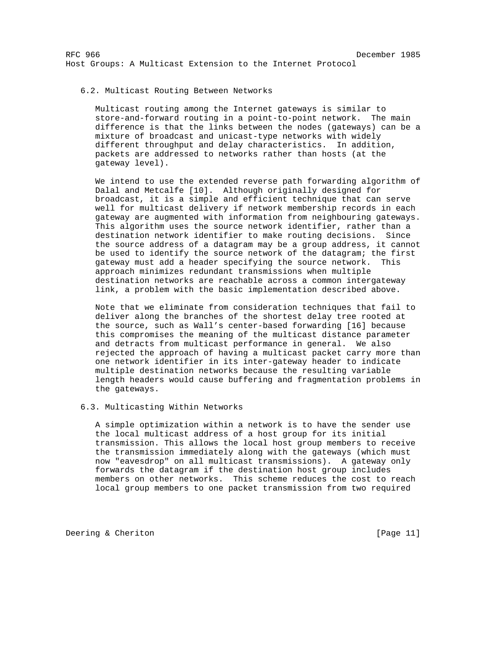### 6.2. Multicast Routing Between Networks

 Multicast routing among the Internet gateways is similar to store-and-forward routing in a point-to-point network. The main difference is that the links between the nodes (gateways) can be a mixture of broadcast and unicast-type networks with widely different throughput and delay characteristics. In addition, packets are addressed to networks rather than hosts (at the gateway level).

 We intend to use the extended reverse path forwarding algorithm of Dalal and Metcalfe [10]. Although originally designed for broadcast, it is a simple and efficient technique that can serve well for multicast delivery if network membership records in each gateway are augmented with information from neighbouring gateways. This algorithm uses the source network identifier, rather than a destination network identifier to make routing decisions. Since the source address of a datagram may be a group address, it cannot be used to identify the source network of the datagram; the first gateway must add a header specifying the source network. This approach minimizes redundant transmissions when multiple destination networks are reachable across a common intergateway link, a problem with the basic implementation described above.

 Note that we eliminate from consideration techniques that fail to deliver along the branches of the shortest delay tree rooted at the source, such as Wall's center-based forwarding [16] because this compromises the meaning of the multicast distance parameter and detracts from multicast performance in general. We also rejected the approach of having a multicast packet carry more than one network identifier in its inter-gateway header to indicate multiple destination networks because the resulting variable length headers would cause buffering and fragmentation problems in the gateways.

# 6.3. Multicasting Within Networks

 A simple optimization within a network is to have the sender use the local multicast address of a host group for its initial transmission. This allows the local host group members to receive the transmission immediately along with the gateways (which must now "eavesdrop" on all multicast transmissions). A gateway only forwards the datagram if the destination host group includes members on other networks. This scheme reduces the cost to reach local group members to one packet transmission from two required

Deering & Cheriton [Page 11]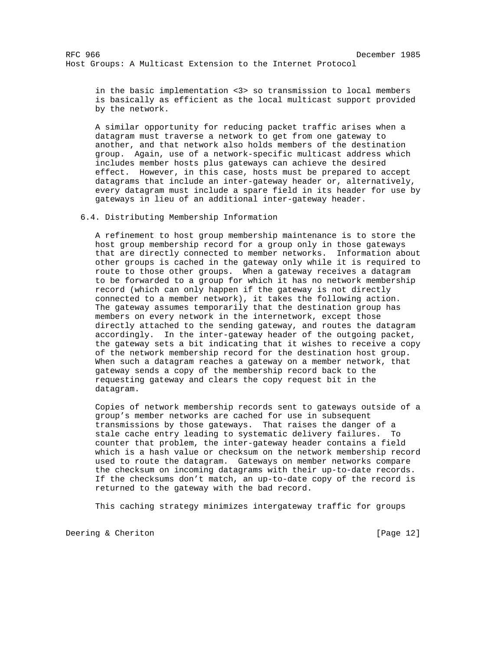in the basic implementation <3> so transmission to local members is basically as efficient as the local multicast support provided by the network.

 A similar opportunity for reducing packet traffic arises when a datagram must traverse a network to get from one gateway to another, and that network also holds members of the destination group. Again, use of a network-specific multicast address which includes member hosts plus gateways can achieve the desired effect. However, in this case, hosts must be prepared to accept datagrams that include an inter-gateway header or, alternatively, every datagram must include a spare field in its header for use by gateways in lieu of an additional inter-gateway header.

6.4. Distributing Membership Information

 A refinement to host group membership maintenance is to store the host group membership record for a group only in those gateways that are directly connected to member networks. Information about other groups is cached in the gateway only while it is required to route to those other groups. When a gateway receives a datagram to be forwarded to a group for which it has no network membership record (which can only happen if the gateway is not directly connected to a member network), it takes the following action. The gateway assumes temporarily that the destination group has members on every network in the internetwork, except those directly attached to the sending gateway, and routes the datagram accordingly. In the inter-gateway header of the outgoing packet, the gateway sets a bit indicating that it wishes to receive a copy of the network membership record for the destination host group. When such a datagram reaches a gateway on a member network, that gateway sends a copy of the membership record back to the requesting gateway and clears the copy request bit in the datagram.

 Copies of network membership records sent to gateways outside of a group's member networks are cached for use in subsequent transmissions by those gateways. That raises the danger of a stale cache entry leading to systematic delivery failures. To counter that problem, the inter-gateway header contains a field which is a hash value or checksum on the network membership record used to route the datagram. Gateways on member networks compare the checksum on incoming datagrams with their up-to-date records. If the checksums don't match, an up-to-date copy of the record is returned to the gateway with the bad record.

This caching strategy minimizes intergateway traffic for groups

Deering & Cheriton [Page 12]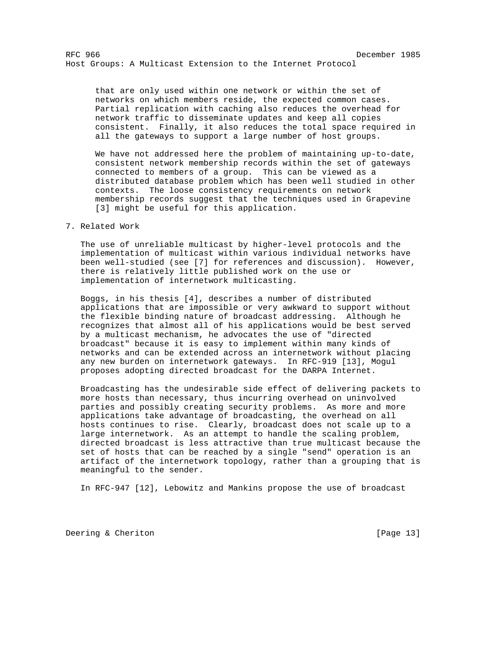that are only used within one network or within the set of networks on which members reside, the expected common cases. Partial replication with caching also reduces the overhead for network traffic to disseminate updates and keep all copies consistent. Finally, it also reduces the total space required in all the gateways to support a large number of host groups.

 We have not addressed here the problem of maintaining up-to-date, consistent network membership records within the set of gateways connected to members of a group. This can be viewed as a distributed database problem which has been well studied in other contexts. The loose consistency requirements on network membership records suggest that the techniques used in Grapevine [3] might be useful for this application.

## 7. Related Work

 The use of unreliable multicast by higher-level protocols and the implementation of multicast within various individual networks have been well-studied (see [7] for references and discussion). However, there is relatively little published work on the use or implementation of internetwork multicasting.

 Boggs, in his thesis [4], describes a number of distributed applications that are impossible or very awkward to support without the flexible binding nature of broadcast addressing. Although he recognizes that almost all of his applications would be best served by a multicast mechanism, he advocates the use of "directed broadcast" because it is easy to implement within many kinds of networks and can be extended across an internetwork without placing any new burden on internetwork gateways. In RFC-919 [13], Mogul proposes adopting directed broadcast for the DARPA Internet.

 Broadcasting has the undesirable side effect of delivering packets to more hosts than necessary, thus incurring overhead on uninvolved parties and possibly creating security problems. As more and more applications take advantage of broadcasting, the overhead on all hosts continues to rise. Clearly, broadcast does not scale up to a large internetwork. As an attempt to handle the scaling problem, directed broadcast is less attractive than true multicast because the set of hosts that can be reached by a single "send" operation is an artifact of the internetwork topology, rather than a grouping that is meaningful to the sender.

In RFC-947 [12], Lebowitz and Mankins propose the use of broadcast

Deering & Cheriton [Page 13]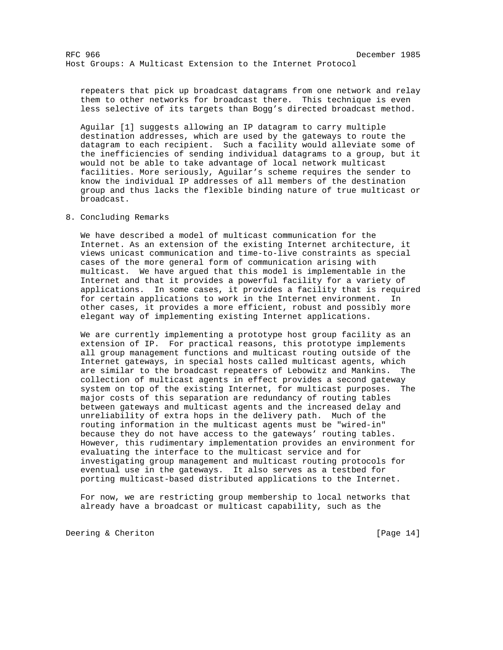repeaters that pick up broadcast datagrams from one network and relay them to other networks for broadcast there. This technique is even

less selective of its targets than Bogg's directed broadcast method.

 Aguilar [1] suggests allowing an IP datagram to carry multiple destination addresses, which are used by the gateways to route the datagram to each recipient. Such a facility would alleviate some of the inefficiencies of sending individual datagrams to a group, but it would not be able to take advantage of local network multicast facilities. More seriously, Aguilar's scheme requires the sender to know the individual IP addresses of all members of the destination group and thus lacks the flexible binding nature of true multicast or broadcast.

## 8. Concluding Remarks

 We have described a model of multicast communication for the Internet. As an extension of the existing Internet architecture, it views unicast communication and time-to-live constraints as special cases of the more general form of communication arising with multicast. We have argued that this model is implementable in the Internet and that it provides a powerful facility for a variety of applications. In some cases, it provides a facility that is required for certain applications to work in the Internet environment. In other cases, it provides a more efficient, robust and possibly more elegant way of implementing existing Internet applications.

 We are currently implementing a prototype host group facility as an extension of IP. For practical reasons, this prototype implements all group management functions and multicast routing outside of the Internet gateways, in special hosts called multicast agents, which are similar to the broadcast repeaters of Lebowitz and Mankins. The collection of multicast agents in effect provides a second gateway system on top of the existing Internet, for multicast purposes. The major costs of this separation are redundancy of routing tables between gateways and multicast agents and the increased delay and unreliability of extra hops in the delivery path. Much of the routing information in the multicast agents must be "wired-in" because they do not have access to the gateways' routing tables. However, this rudimentary implementation provides an environment for evaluating the interface to the multicast service and for investigating group management and multicast routing protocols for eventual use in the gateways. It also serves as a testbed for porting multicast-based distributed applications to the Internet.

 For now, we are restricting group membership to local networks that already have a broadcast or multicast capability, such as the

Deering & Cheriton [Page 14]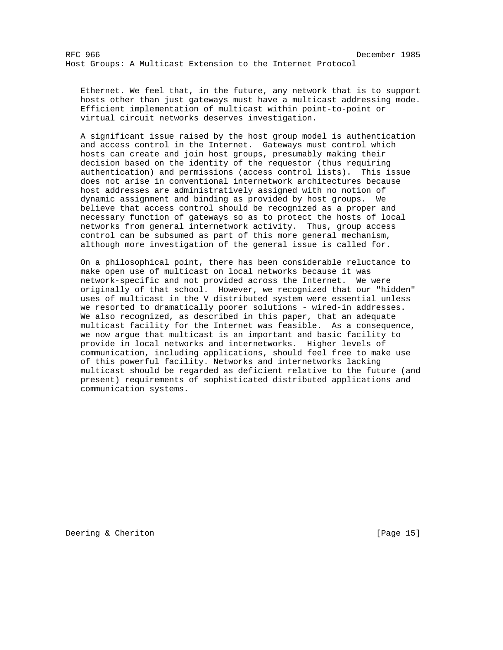Ethernet. We feel that, in the future, any network that is to support hosts other than just gateways must have a multicast addressing mode. Efficient implementation of multicast within point-to-point or virtual circuit networks deserves investigation.

 A significant issue raised by the host group model is authentication and access control in the Internet. Gateways must control which hosts can create and join host groups, presumably making their decision based on the identity of the requestor (thus requiring authentication) and permissions (access control lists). This issue does not arise in conventional internetwork architectures because host addresses are administratively assigned with no notion of dynamic assignment and binding as provided by host groups. We believe that access control should be recognized as a proper and necessary function of gateways so as to protect the hosts of local networks from general internetwork activity. Thus, group access control can be subsumed as part of this more general mechanism, although more investigation of the general issue is called for.

 On a philosophical point, there has been considerable reluctance to make open use of multicast on local networks because it was network-specific and not provided across the Internet. We were originally of that school. However, we recognized that our "hidden" uses of multicast in the V distributed system were essential unless we resorted to dramatically poorer solutions - wired-in addresses. We also recognized, as described in this paper, that an adequate multicast facility for the Internet was feasible. As a consequence, we now argue that multicast is an important and basic facility to provide in local networks and internetworks. Higher levels of communication, including applications, should feel free to make use of this powerful facility. Networks and internetworks lacking multicast should be regarded as deficient relative to the future (and present) requirements of sophisticated distributed applications and communication systems.

Deering & Cheriton [Page 15]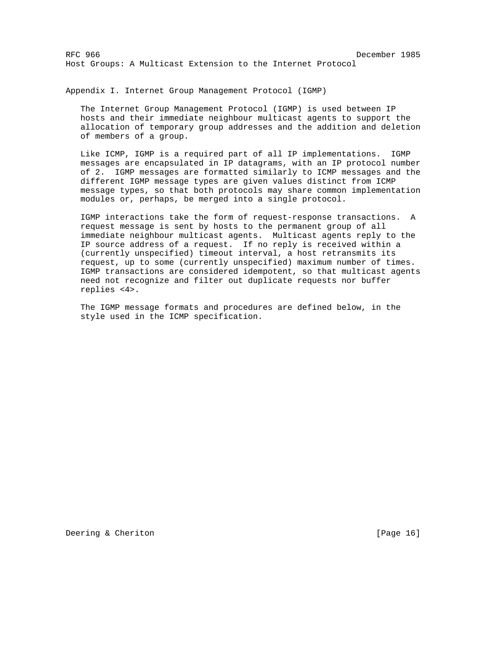### Appendix I. Internet Group Management Protocol (IGMP)

 The Internet Group Management Protocol (IGMP) is used between IP hosts and their immediate neighbour multicast agents to support the allocation of temporary group addresses and the addition and deletion of members of a group.

 Like ICMP, IGMP is a required part of all IP implementations. IGMP messages are encapsulated in IP datagrams, with an IP protocol number of 2. IGMP messages are formatted similarly to ICMP messages and the different IGMP message types are given values distinct from ICMP message types, so that both protocols may share common implementation modules or, perhaps, be merged into a single protocol.

 IGMP interactions take the form of request-response transactions. A request message is sent by hosts to the permanent group of all immediate neighbour multicast agents. Multicast agents reply to the IP source address of a request. If no reply is received within a (currently unspecified) timeout interval, a host retransmits its request, up to some (currently unspecified) maximum number of times. IGMP transactions are considered idempotent, so that multicast agents need not recognize and filter out duplicate requests nor buffer replies <4>.

 The IGMP message formats and procedures are defined below, in the style used in the ICMP specification.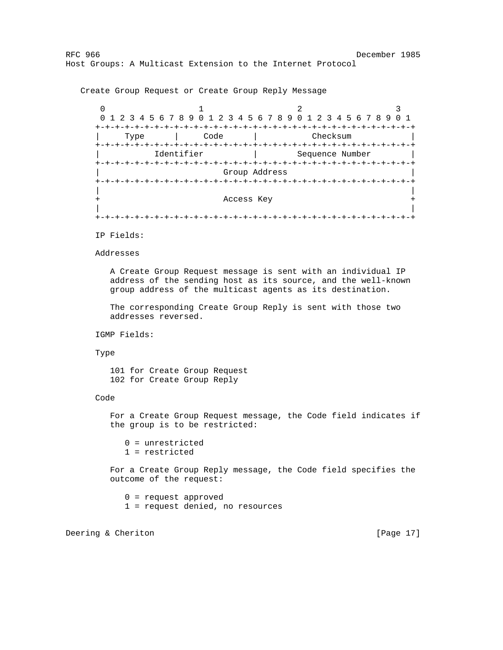0  $1$  2 3 0 1 2 3 4 5 6 7 8 9 0 1 2 3 4 5 6 7 8 9 0 1 2 3 4 5 6 7 8 9 0 1 +-+-+-+-+-+-+-+-+-+-+-+-+-+-+-+-+-+-+-+-+-+-+-+-+-+-+-+-+-+-+-+-+ Type | Code | Checksum +-+-+-+-+-+-+-+-+-+-+-+-+-+-+-+-+-+-+-+-+-+-+-+-+-+-+-+-+-+-+-+-+ Identifier | Sequence Number +-+-+-+-+-+-+-+-+-+-+-+-+-+-+-+-+-+-+-+-+-+-+-+-+-+-+-+-+-+-+-+-+ | Group Address | +-+-+-+-+-+-+-+-+-+-+-+-+-+-+-+-+-+-+-+-+-+-+-+-+-+-+-+-+-+-+-+-+ | | Access Key | |

+-+-+-+-+-+-+-+-+-+-+-+-+-+-+-+-+-+-+-+-+-+-+-+-+-+-+-+-+-+-+-+-+

Create Group Request or Create Group Reply Message

IP Fields:

Addresses

 A Create Group Request message is sent with an individual IP address of the sending host as its source, and the well-known group address of the multicast agents as its destination.

 The corresponding Create Group Reply is sent with those two addresses reversed.

IGMP Fields:

Type

 101 for Create Group Request 102 for Create Group Reply

Code

 For a Create Group Request message, the Code field indicates if the group is to be restricted:

 0 = unrestricted 1 = restricted

 For a Create Group Reply message, the Code field specifies the outcome of the request:

0 = request approved

1 = request denied, no resources

Deering & Cheriton [Page 17]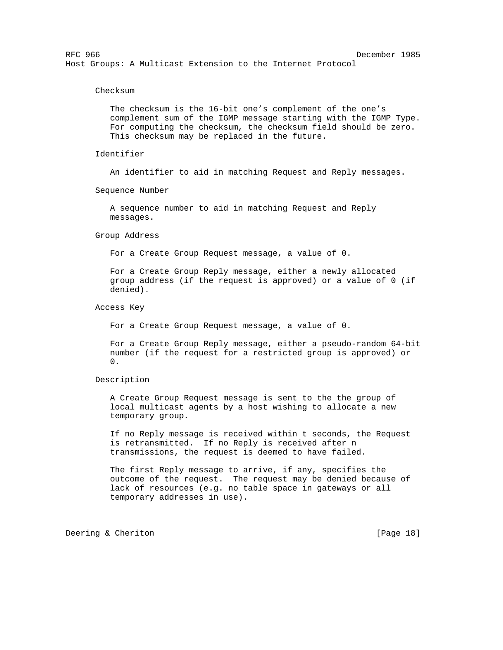#### Checksum

 The checksum is the 16-bit one's complement of the one's complement sum of the IGMP message starting with the IGMP Type. For computing the checksum, the checksum field should be zero. This checksum may be replaced in the future.

Identifier

An identifier to aid in matching Request and Reply messages.

Sequence Number

 A sequence number to aid in matching Request and Reply messages.

Group Address

For a Create Group Request message, a value of 0.

 For a Create Group Reply message, either a newly allocated group address (if the request is approved) or a value of 0 (if denied).

Access Key

For a Create Group Request message, a value of 0.

 For a Create Group Reply message, either a pseudo-random 64-bit number (if the request for a restricted group is approved) or 0.

Description

 A Create Group Request message is sent to the the group of local multicast agents by a host wishing to allocate a new temporary group.

 If no Reply message is received within t seconds, the Request is retransmitted. If no Reply is received after n transmissions, the request is deemed to have failed.

 The first Reply message to arrive, if any, specifies the outcome of the request. The request may be denied because of lack of resources (e.g. no table space in gateways or all temporary addresses in use).

Deering & Cheriton [Page 18]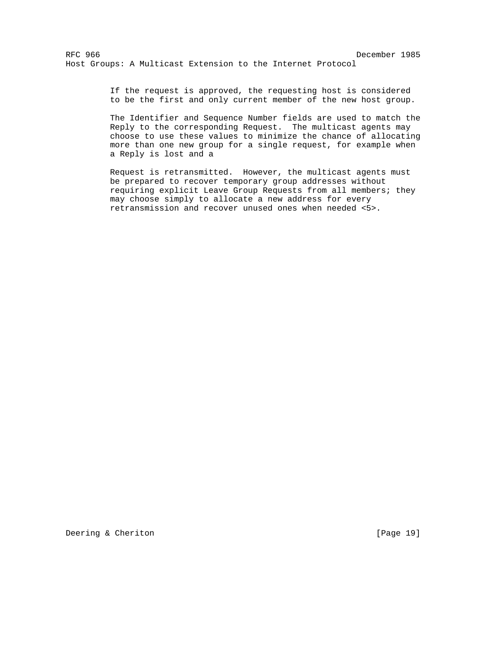If the request is approved, the requesting host is considered to be the first and only current member of the new host group.

 The Identifier and Sequence Number fields are used to match the Reply to the corresponding Request. The multicast agents may choose to use these values to minimize the chance of allocating more than one new group for a single request, for example when a Reply is lost and a

 Request is retransmitted. However, the multicast agents must be prepared to recover temporary group addresses without requiring explicit Leave Group Requests from all members; they may choose simply to allocate a new address for every retransmission and recover unused ones when needed <5>.

Deering & Cheriton [Page 19]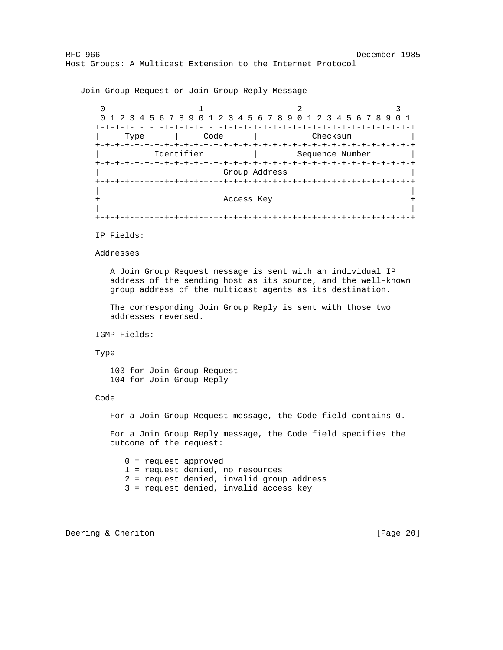Join Group Request or Join Group Reply Message

|      |               | 0 1 2 3 4 5 6 7 8 9 0 1 2 3 4 5 6 7 8 9 0 1 2 3 4 5 6 7 8 9 |  |  |  |
|------|---------------|-------------------------------------------------------------|--|--|--|
|      |               |                                                             |  |  |  |
| Type | Code          | Checksum                                                    |  |  |  |
|      | Identifier    | Sequence Number                                             |  |  |  |
|      | Group Address |                                                             |  |  |  |
|      |               |                                                             |  |  |  |
|      | Access Key    |                                                             |  |  |  |
|      |               |                                                             |  |  |  |

IP Fields:

Addresses

 A Join Group Request message is sent with an individual IP address of the sending host as its source, and the well-known group address of the multicast agents as its destination.

 The corresponding Join Group Reply is sent with those two addresses reversed.

IGMP Fields:

Type

 103 for Join Group Request 104 for Join Group Reply

## Code

For a Join Group Request message, the Code field contains 0.

 For a Join Group Reply message, the Code field specifies the outcome of the request:

 0 = request approved 1 = request denied, no resources 2 = request denied, invalid group address 3 = request denied, invalid access key

Deering & Cheriton [Page 20]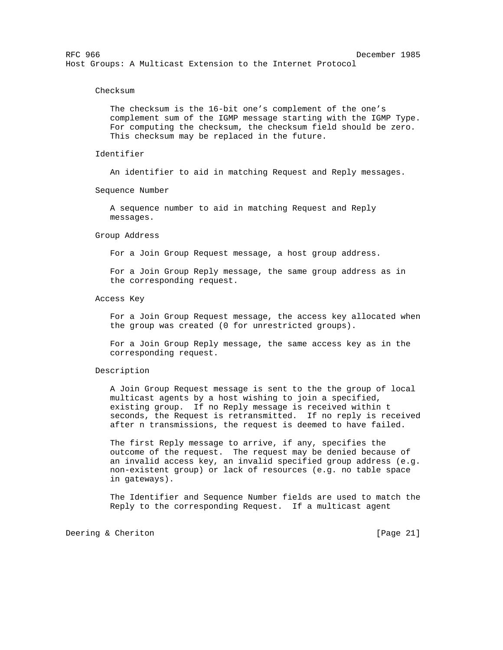#### Checksum

 The checksum is the 16-bit one's complement of the one's complement sum of the IGMP message starting with the IGMP Type. For computing the checksum, the checksum field should be zero. This checksum may be replaced in the future.

#### Identifier

An identifier to aid in matching Request and Reply messages.

Sequence Number

 A sequence number to aid in matching Request and Reply messages.

#### Group Address

For a Join Group Request message, a host group address.

 For a Join Group Reply message, the same group address as in the corresponding request.

#### Access Key

 For a Join Group Request message, the access key allocated when the group was created (0 for unrestricted groups).

 For a Join Group Reply message, the same access key as in the corresponding request.

## Description

 A Join Group Request message is sent to the the group of local multicast agents by a host wishing to join a specified, existing group. If no Reply message is received within t seconds, the Request is retransmitted. If no reply is received after n transmissions, the request is deemed to have failed.

 The first Reply message to arrive, if any, specifies the outcome of the request. The request may be denied because of an invalid access key, an invalid specified group address (e.g. non-existent group) or lack of resources (e.g. no table space in gateways).

 The Identifier and Sequence Number fields are used to match the Reply to the corresponding Request. If a multicast agent

Deering & Cheriton [Page 21]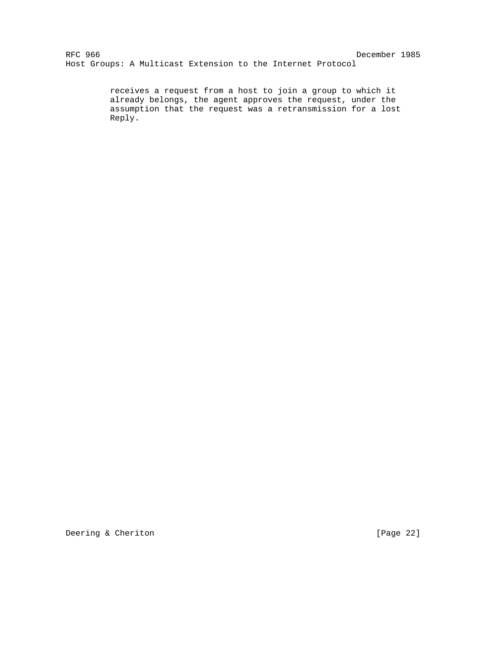receives a request from a host to join a group to which it already belongs, the agent approves the request, under the assumption that the request was a retransmission for a lost Reply.

Deering & Cheriton [Page 22]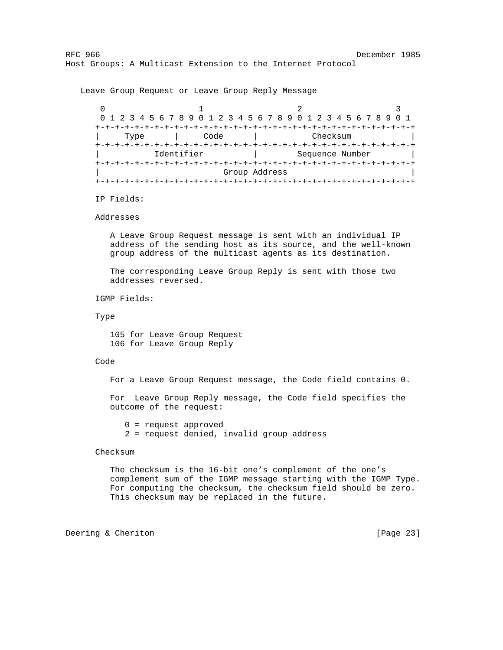Leave Group Request or Leave Group Reply Message

|      |               | 0 1 2 3 4 5 6 7 8 9 0 1 2 3 4 5 6 7 8 9 0 1 2 3 4 5 6 7 8 9 |                 |  |  |
|------|---------------|-------------------------------------------------------------|-----------------|--|--|
|      |               |                                                             |                 |  |  |
| Type | Code          | Checksum                                                    |                 |  |  |
|      |               |                                                             |                 |  |  |
|      | Identifier    |                                                             | Sequence Number |  |  |
|      |               |                                                             |                 |  |  |
|      | Group Address |                                                             |                 |  |  |
|      |               |                                                             |                 |  |  |

IP Fields:

Addresses

 A Leave Group Request message is sent with an individual IP address of the sending host as its source, and the well-known group address of the multicast agents as its destination.

 The corresponding Leave Group Reply is sent with those two addresses reversed.

IGMP Fields:

Type

 105 for Leave Group Request 106 for Leave Group Reply

#### Code

For a Leave Group Request message, the Code field contains 0.

 For Leave Group Reply message, the Code field specifies the outcome of the request:

 0 = request approved 2 = request denied, invalid group address

# Checksum

 The checksum is the 16-bit one's complement of the one's complement sum of the IGMP message starting with the IGMP Type. For computing the checksum, the checksum field should be zero. This checksum may be replaced in the future.

Deering & Cheriton [Page 23]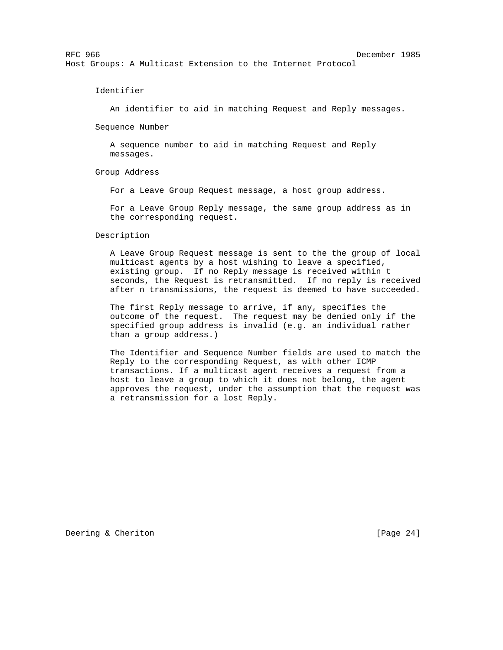Identifier

An identifier to aid in matching Request and Reply messages.

Sequence Number

 A sequence number to aid in matching Request and Reply messages.

Group Address

For a Leave Group Request message, a host group address.

 For a Leave Group Reply message, the same group address as in the corresponding request.

#### Description

 A Leave Group Request message is sent to the the group of local multicast agents by a host wishing to leave a specified, existing group. If no Reply message is received within t seconds, the Request is retransmitted. If no reply is received after n transmissions, the request is deemed to have succeeded.

 The first Reply message to arrive, if any, specifies the outcome of the request. The request may be denied only if the specified group address is invalid (e.g. an individual rather than a group address.)

 The Identifier and Sequence Number fields are used to match the Reply to the corresponding Request, as with other ICMP transactions. If a multicast agent receives a request from a host to leave a group to which it does not belong, the agent approves the request, under the assumption that the request was a retransmission for a lost Reply.

Deering & Cheriton [Page 24]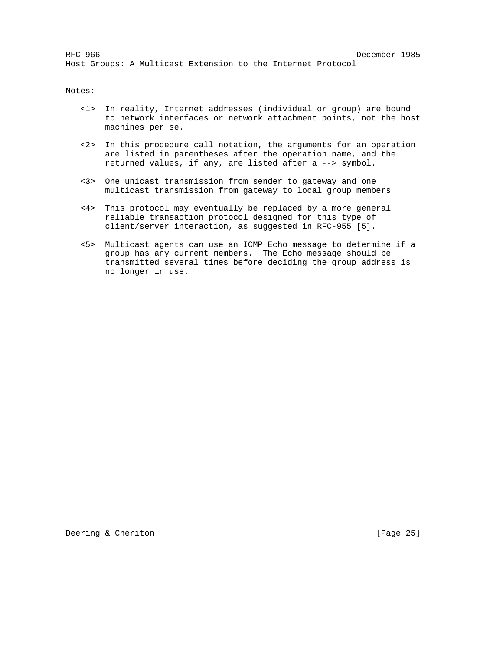#### Notes:

- <1> In reality, Internet addresses (individual or group) are bound to network interfaces or network attachment points, not the host machines per se.
- <2> In this procedure call notation, the arguments for an operation are listed in parentheses after the operation name, and the returned values, if any, are listed after a --> symbol.
- <3> One unicast transmission from sender to gateway and one multicast transmission from gateway to local group members
- <4> This protocol may eventually be replaced by a more general reliable transaction protocol designed for this type of client/server interaction, as suggested in RFC-955 [5].
- <5> Multicast agents can use an ICMP Echo message to determine if a group has any current members. The Echo message should be transmitted several times before deciding the group address is no longer in use.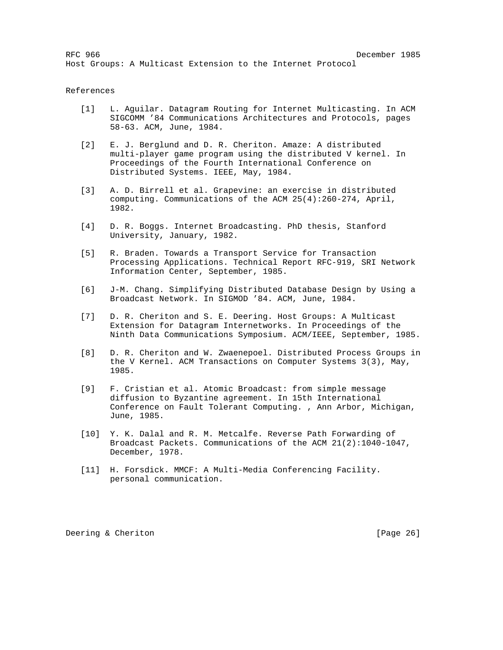### References

- [1] L. Aguilar. Datagram Routing for Internet Multicasting. In ACM SIGCOMM '84 Communications Architectures and Protocols, pages 58-63. ACM, June, 1984.
- [2] E. J. Berglund and D. R. Cheriton. Amaze: A distributed multi-player game program using the distributed V kernel. In Proceedings of the Fourth International Conference on Distributed Systems. IEEE, May, 1984.
- [3] A. D. Birrell et al. Grapevine: an exercise in distributed computing. Communications of the ACM 25(4):260-274, April, 1982.
- [4] D. R. Boggs. Internet Broadcasting. PhD thesis, Stanford University, January, 1982.
- [5] R. Braden. Towards a Transport Service for Transaction Processing Applications. Technical Report RFC-919, SRI Network Information Center, September, 1985.
- [6] J-M. Chang. Simplifying Distributed Database Design by Using a Broadcast Network. In SIGMOD '84. ACM, June, 1984.
- [7] D. R. Cheriton and S. E. Deering. Host Groups: A Multicast Extension for Datagram Internetworks. In Proceedings of the Ninth Data Communications Symposium. ACM/IEEE, September, 1985.
- [8] D. R. Cheriton and W. Zwaenepoel. Distributed Process Groups in the V Kernel. ACM Transactions on Computer Systems 3(3), May, 1985.
- [9] F. Cristian et al. Atomic Broadcast: from simple message diffusion to Byzantine agreement. In 15th International Conference on Fault Tolerant Computing. , Ann Arbor, Michigan, June, 1985.
- [10] Y. K. Dalal and R. M. Metcalfe. Reverse Path Forwarding of Broadcast Packets. Communications of the ACM 21(2):1040-1047, December, 1978.
- [11] H. Forsdick. MMCF: A Multi-Media Conferencing Facility. personal communication.

Deering & Cheriton **beering** (Page 26)